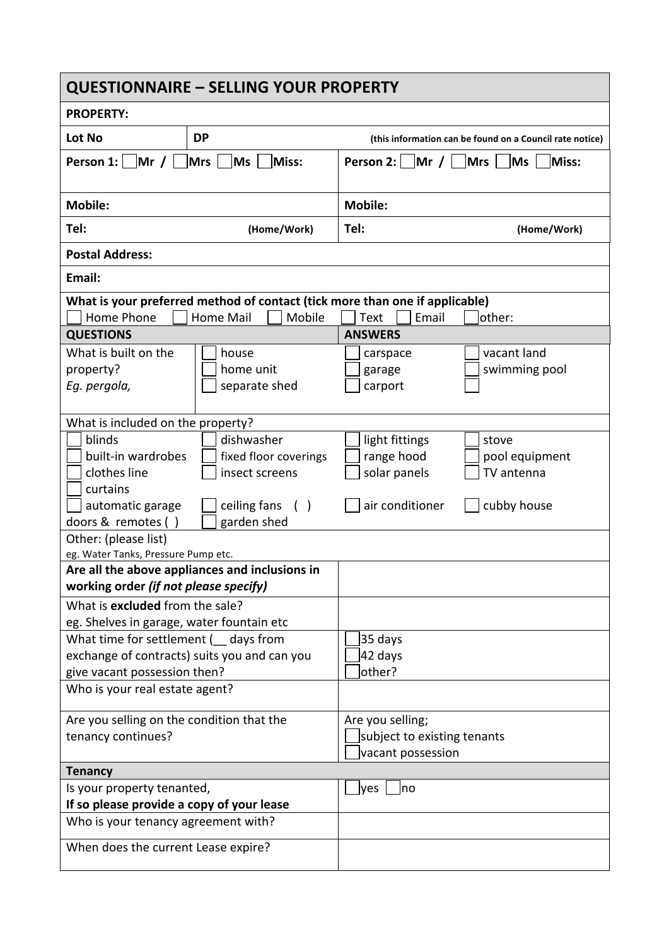| <b>QUESTIONNAIRE - SELLING YOUR PROPERTY</b>                                                                                                                            |                                                       |                                                                      |                                                          |  |  |
|-------------------------------------------------------------------------------------------------------------------------------------------------------------------------|-------------------------------------------------------|----------------------------------------------------------------------|----------------------------------------------------------|--|--|
| <b>PROPERTY:</b>                                                                                                                                                        |                                                       |                                                                      |                                                          |  |  |
| Lot No                                                                                                                                                                  | <b>DP</b>                                             |                                                                      | (this information can be found on a Council rate notice) |  |  |
| Person 1: $\vert$ Mr / $\vert$<br><b>Mrs</b><br>Ms <br>Miss:                                                                                                            |                                                       | Person 2: $\vert$ Mr / $\vert$ Mrs $\vert$<br>MS<br>Miss:            |                                                          |  |  |
| <b>Mobile:</b>                                                                                                                                                          |                                                       | <b>Mobile:</b>                                                       |                                                          |  |  |
| Tel:                                                                                                                                                                    | (Home/Work)                                           | Tel:                                                                 | (Home/Work)                                              |  |  |
| <b>Postal Address:</b>                                                                                                                                                  |                                                       |                                                                      |                                                          |  |  |
| Email:                                                                                                                                                                  |                                                       |                                                                      |                                                          |  |  |
| What is your preferred method of contact (tick more than one if applicable)<br>Home Phone<br><b>Home Mail</b><br>Mobile<br><b>Text</b><br>Email<br>lother:              |                                                       |                                                                      |                                                          |  |  |
| <b>QUESTIONS</b><br>What is built on the<br>property?<br>Eg. pergola,                                                                                                   | house<br>home unit<br>separate shed                   | <b>ANSWERS</b><br>carspace<br>garage<br>carport                      | vacant land<br>swimming pool                             |  |  |
| What is included on the property?<br>blinds<br>built-in wardrobes<br>clothes line                                                                                       | dishwasher<br>fixed floor coverings<br>insect screens | light fittings<br>range hood<br>solar panels                         | stove<br>pool equipment<br>TV antenna                    |  |  |
| curtains<br>automatic garage<br>doors & remotes ()<br>Other: (please list)                                                                                              | ceiling fans<br>( )<br>garden shed                    | air conditioner                                                      | cubby house                                              |  |  |
| eg. Water Tanks, Pressure Pump etc.                                                                                                                                     |                                                       |                                                                      |                                                          |  |  |
| Are all the above appliances and inclusions in<br>working order (if not please specify)                                                                                 |                                                       |                                                                      |                                                          |  |  |
| What is excluded from the sale?<br>eg. Shelves in garage, water fountain etc<br>What time for settlement ( __ days from<br>exchange of contracts) suits you and can you |                                                       | 35 days<br>42 days                                                   |                                                          |  |  |
| give vacant possession then?<br>Who is your real estate agent?                                                                                                          |                                                       | other?                                                               |                                                          |  |  |
| Are you selling on the condition that the<br>tenancy continues?                                                                                                         |                                                       | Are you selling;<br>subject to existing tenants<br>vacant possession |                                                          |  |  |
| <b>Tenancy</b>                                                                                                                                                          |                                                       |                                                                      |                                                          |  |  |
| Is your property tenanted,<br>If so please provide a copy of your lease                                                                                                 |                                                       | yes<br>no                                                            |                                                          |  |  |
| Who is your tenancy agreement with?                                                                                                                                     |                                                       |                                                                      |                                                          |  |  |
| When does the current Lease expire?                                                                                                                                     |                                                       |                                                                      |                                                          |  |  |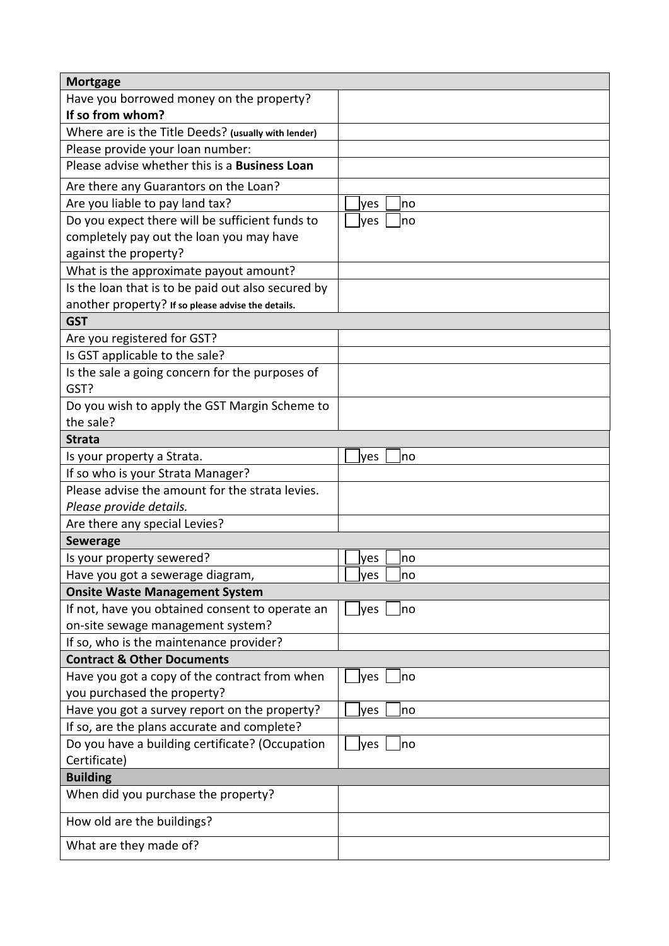| <b>Mortgage</b>                                      |              |  |  |  |
|------------------------------------------------------|--------------|--|--|--|
| Have you borrowed money on the property?             |              |  |  |  |
| If so from whom?                                     |              |  |  |  |
| Where are is the Title Deeds? (usually with lender)  |              |  |  |  |
| Please provide your loan number:                     |              |  |  |  |
| Please advise whether this is a <b>Business Loan</b> |              |  |  |  |
| Are there any Guarantors on the Loan?                |              |  |  |  |
| Are you liable to pay land tax?                      | no<br>yes    |  |  |  |
| Do you expect there will be sufficient funds to      | yes<br>no    |  |  |  |
| completely pay out the loan you may have             |              |  |  |  |
| against the property?                                |              |  |  |  |
| What is the approximate payout amount?               |              |  |  |  |
| Is the loan that is to be paid out also secured by   |              |  |  |  |
| another property? If so please advise the details.   |              |  |  |  |
| <b>GST</b>                                           |              |  |  |  |
| Are you registered for GST?                          |              |  |  |  |
| Is GST applicable to the sale?                       |              |  |  |  |
| Is the sale a going concern for the purposes of      |              |  |  |  |
| GST?                                                 |              |  |  |  |
| Do you wish to apply the GST Margin Scheme to        |              |  |  |  |
| the sale?                                            |              |  |  |  |
| <b>Strata</b>                                        |              |  |  |  |
| Is your property a Strata.                           | ves<br>no    |  |  |  |
| If so who is your Strata Manager?                    |              |  |  |  |
| Please advise the amount for the strata levies.      |              |  |  |  |
| Please provide details.                              |              |  |  |  |
| Are there any special Levies?                        |              |  |  |  |
| <b>Sewerage</b>                                      |              |  |  |  |
| Is your property sewered?                            | yes<br>no    |  |  |  |
| Have you got a sewerage diagram,                     | _lyes  __lno |  |  |  |
| <b>Onsite Waste Management System</b>                |              |  |  |  |
| If not, have you obtained consent to operate an      | yes<br>Ino   |  |  |  |
| on-site sewage management system?                    |              |  |  |  |
| If so, who is the maintenance provider?              |              |  |  |  |
| <b>Contract &amp; Other Documents</b>                |              |  |  |  |
| Have you got a copy of the contract from when        | lyes<br>no   |  |  |  |
| you purchased the property?                          |              |  |  |  |
| Have you got a survey report on the property?        | yes<br>no    |  |  |  |
| If so, are the plans accurate and complete?          |              |  |  |  |
| Do you have a building certificate? (Occupation      | yes<br>no    |  |  |  |
| Certificate)                                         |              |  |  |  |
| <b>Building</b>                                      |              |  |  |  |
| When did you purchase the property?                  |              |  |  |  |
| How old are the buildings?                           |              |  |  |  |
| What are they made of?                               |              |  |  |  |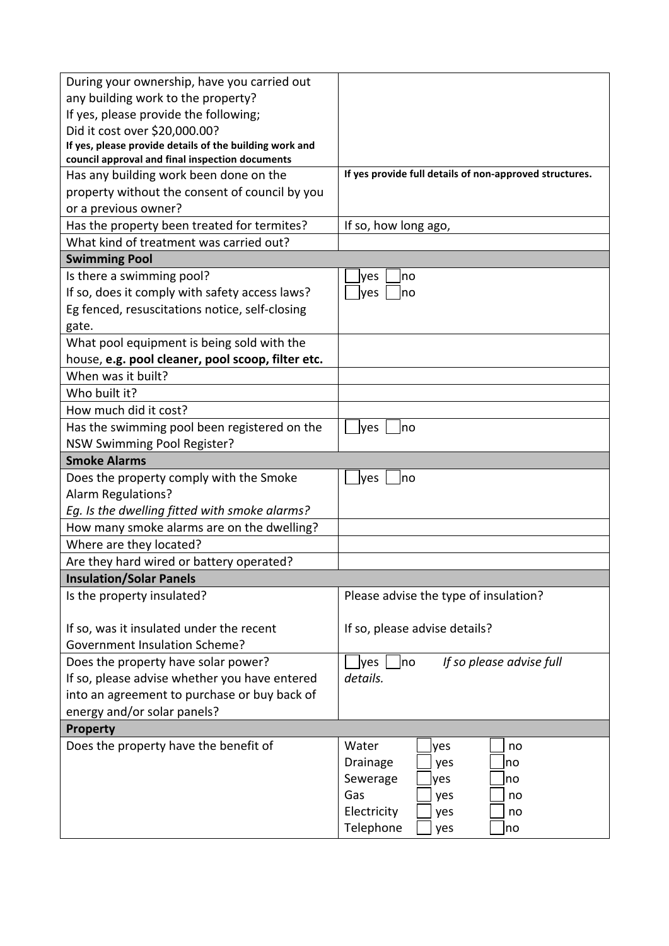| During your ownership, have you carried out             |                                                         |  |  |  |
|---------------------------------------------------------|---------------------------------------------------------|--|--|--|
| any building work to the property?                      |                                                         |  |  |  |
| If yes, please provide the following;                   |                                                         |  |  |  |
| Did it cost over \$20,000.00?                           |                                                         |  |  |  |
| If yes, please provide details of the building work and |                                                         |  |  |  |
| council approval and final inspection documents         |                                                         |  |  |  |
| Has any building work been done on the                  | If yes provide full details of non-approved structures. |  |  |  |
| property without the consent of council by you          |                                                         |  |  |  |
| or a previous owner?                                    |                                                         |  |  |  |
| Has the property been treated for termites?             | If so, how long ago,                                    |  |  |  |
| What kind of treatment was carried out?                 |                                                         |  |  |  |
| <b>Swimming Pool</b>                                    |                                                         |  |  |  |
| Is there a swimming pool?                               | yes<br>no                                               |  |  |  |
| If so, does it comply with safety access laws?          | yes<br>Ino                                              |  |  |  |
| Eg fenced, resuscitations notice, self-closing          |                                                         |  |  |  |
| gate.                                                   |                                                         |  |  |  |
| What pool equipment is being sold with the              |                                                         |  |  |  |
| house, e.g. pool cleaner, pool scoop, filter etc.       |                                                         |  |  |  |
| When was it built?                                      |                                                         |  |  |  |
| Who built it?                                           |                                                         |  |  |  |
| How much did it cost?                                   |                                                         |  |  |  |
| Has the swimming pool been registered on the            | yes<br>no                                               |  |  |  |
| <b>NSW Swimming Pool Register?</b>                      |                                                         |  |  |  |
| <b>Smoke Alarms</b>                                     |                                                         |  |  |  |
| Does the property comply with the Smoke                 | yes<br>no                                               |  |  |  |
| Alarm Regulations?                                      |                                                         |  |  |  |
| Eg. Is the dwelling fitted with smoke alarms?           |                                                         |  |  |  |
| How many smoke alarms are on the dwelling?              |                                                         |  |  |  |
| Where are they located?                                 |                                                         |  |  |  |
| Are they hard wired or battery operated?                |                                                         |  |  |  |
| <b>Insulation/Solar Panels</b>                          |                                                         |  |  |  |
| Is the property insulated?                              | Please advise the type of insulation?                   |  |  |  |
| If so, was it insulated under the recent                | If so, please advise details?                           |  |  |  |
| <b>Government Insulation Scheme?</b>                    |                                                         |  |  |  |
|                                                         |                                                         |  |  |  |
|                                                         |                                                         |  |  |  |
| Does the property have solar power?                     | If so please advise full<br>lyes<br>no                  |  |  |  |
| If so, please advise whether you have entered           | details.                                                |  |  |  |
| into an agreement to purchase or buy back of            |                                                         |  |  |  |
| energy and/or solar panels?                             |                                                         |  |  |  |
| <b>Property</b>                                         |                                                         |  |  |  |
| Does the property have the benefit of                   | Water<br>yes<br>no                                      |  |  |  |
|                                                         | Drainage<br>yes<br>no                                   |  |  |  |
|                                                         | Sewerage<br>yes<br>no                                   |  |  |  |
|                                                         | Gas<br>yes<br>no                                        |  |  |  |
|                                                         | Electricity<br>yes<br>no<br>Telephone<br>yes<br>no      |  |  |  |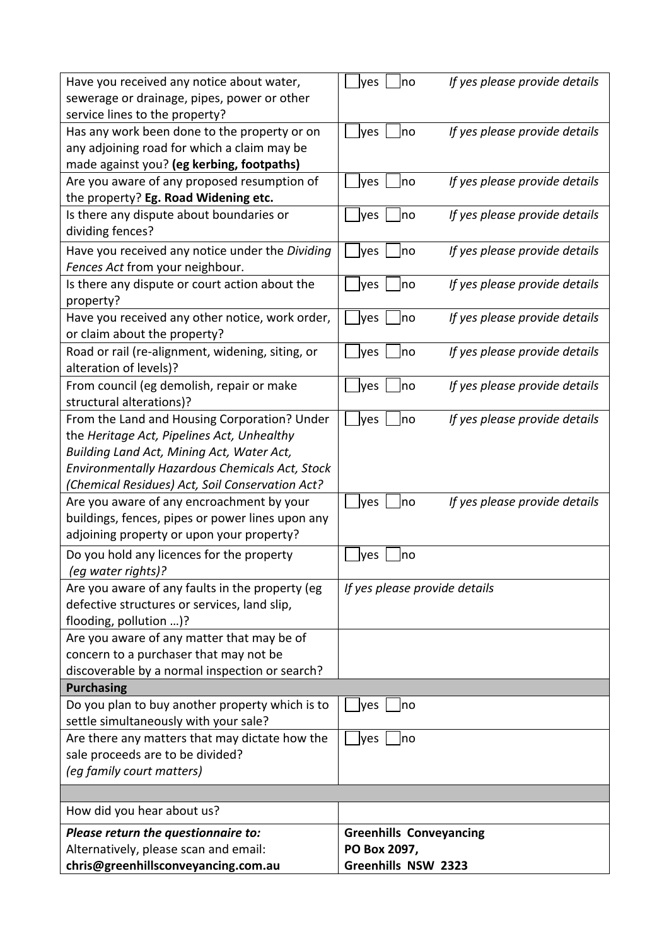| Have you received any notice about water,        | If yes please provide details<br> yes<br>no  |
|--------------------------------------------------|----------------------------------------------|
| sewerage or drainage, pipes, power or other      |                                              |
| service lines to the property?                   |                                              |
| Has any work been done to the property or on     | If yes please provide details<br> yes<br> no |
| any adjoining road for which a claim may be      |                                              |
| made against you? (eg kerbing, footpaths)        |                                              |
| Are you aware of any proposed resumption of      | If yes please provide details<br>no<br>yes   |
| the property? Eg. Road Widening etc.             |                                              |
| Is there any dispute about boundaries or         | If yes please provide details<br> no<br>yes  |
| dividing fences?                                 |                                              |
| Have you received any notice under the Dividing  | If yes please provide details<br>lyes<br> no |
| Fences Act from your neighbour.                  |                                              |
| Is there any dispute or court action about the   | If yes please provide details<br>lyes<br>no  |
| property?                                        |                                              |
| Have you received any other notice, work order,  | If yes please provide details<br>lyes<br>no  |
| or claim about the property?                     |                                              |
| Road or rail (re-alignment, widening, siting, or | If yes please provide details<br>yes<br> no  |
| alteration of levels)?                           |                                              |
| From council (eg demolish, repair or make        | If yes please provide details<br>no<br>yes   |
| structural alterations)?                         |                                              |
| From the Land and Housing Corporation? Under     | If yes please provide details<br>lyes<br>no  |
| the Heritage Act, Pipelines Act, Unhealthy       |                                              |
| Building Land Act, Mining Act, Water Act,        |                                              |
| Environmentally Hazardous Chemicals Act, Stock   |                                              |
| (Chemical Residues) Act, Soil Conservation Act?  |                                              |
| Are you aware of any encroachment by your        | If yes please provide details<br>lyes<br>no  |
| buildings, fences, pipes or power lines upon any |                                              |
| adjoining property or upon your property?        |                                              |
| Do you hold any licences for the property        | yes<br>no                                    |
| (eg water rights)?                               |                                              |
| Are you aware of any faults in the property (eg  | If yes please provide details                |
| defective structures or services, land slip,     |                                              |
| flooding, pollution )?                           |                                              |
| Are you aware of any matter that may be of       |                                              |
| concern to a purchaser that may not be           |                                              |
| discoverable by a normal inspection or search?   |                                              |
| <b>Purchasing</b>                                |                                              |
| Do you plan to buy another property which is to  | yes<br>no                                    |
| settle simultaneously with your sale?            |                                              |
| Are there any matters that may dictate how the   | yes<br>no                                    |
| sale proceeds are to be divided?                 |                                              |
| (eg family court matters)                        |                                              |
|                                                  |                                              |
| How did you hear about us?                       |                                              |
| Please return the questionnaire to:              | <b>Greenhills Conveyancing</b>               |
| Alternatively, please scan and email:            | PO Box 2097,                                 |
| chris@greenhillsconveyancing.com.au              | Greenhills NSW 2323                          |